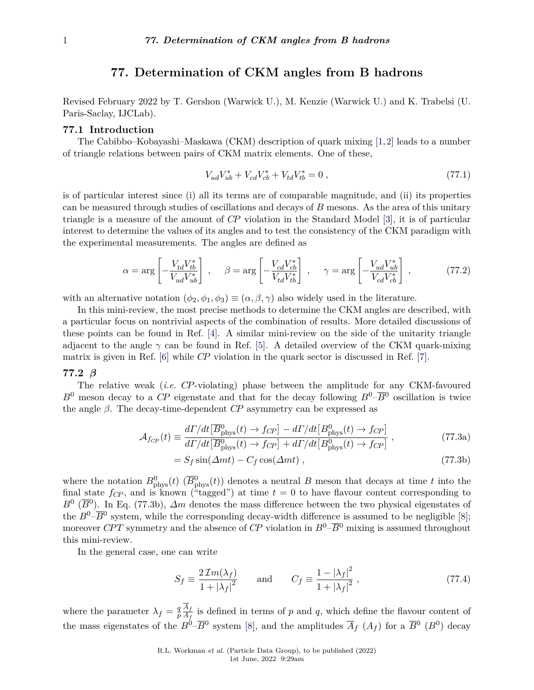# **77. Determination of CKM angles from B hadrons**

Revised February 2022 by T. Gershon (Warwick U.), M. Kenzie (Warwick U.) and K. Trabelsi (U. Paris-Saclay, IJCLab).

## **77.1 Introduction**

The Cabibbo–Kobayashi–Maskawa (CKM) description of quark mixing [\[1,](#page-9-0)[2\]](#page-9-1) leads to a number of triangle relations between pairs of CKM matrix elements. One of these,

$$
V_{ud}V_{ub}^* + V_{cd}V_{cb}^* + V_{td}V_{tb}^* = 0 , \qquad (77.1)
$$

is of particular interest since (i) all its terms are of comparable magnitude, and (ii) its properties can be measured through studies of oscillations and decays of *B* mesons. As the area of this unitary triangle is a measure of the amount of *CP* violation in the Standard Model [\[3\]](#page-9-2), it is of particular interest to determine the values of its angles and to test the consistency of the CKM paradigm with the experimental measurements. The angles are defined as

$$
\alpha = \arg \left[ -\frac{V_{td} V_{tb}^*}{V_{ud} V_{ub}^*} \right] , \quad \beta = \arg \left[ -\frac{V_{cd} V_{cb}^*}{V_{td} V_{tb}^*} \right] , \quad \gamma = \arg \left[ -\frac{V_{ud} V_{ub}^*}{V_{cd} V_{cb}^*} \right] , \quad (77.2)
$$

with an alternative notation  $(\phi_2, \phi_1, \phi_3) \equiv (\alpha, \beta, \gamma)$  also widely used in the literature.

In this mini-review, the most precise methods to determine the CKM angles are described, with a particular focus on nontrivial aspects of the combination of results. More detailed discussions of these points can be found in Ref. [\[4\]](#page-9-3). A similar mini-review on the side of the unitarity triangle adjacent to the angle  $\gamma$  can be found in Ref. [\[5\]](#page-9-4). A detailed overview of the CKM quark-mixing matrix is given in Ref. [\[6\]](#page-9-5) while *CP* violation in the quark sector is discussed in Ref. [\[7\]](#page-9-6).

# **77.2** *β*

The relative weak (*i.e. CP*-violating) phase between the amplitude for any CKM-favoured  $B^0$  meson decay to a *CP* eigenstate and that for the decay following  $B^0-\overline{B}^0$  oscillation is twice the angle *β*. The decay-time-dependent *CP* asymmetry can be expressed as

$$
\mathcal{A}_{f_{CP}}(t) \equiv \frac{d\Gamma/dt \left[\overline{B}_{\rm phys}^0(t) \to f_{CP}\right] - d\Gamma/dt \left[B_{\rm phys}^0(t) \to f_{CP}\right]}{d\Gamma/dt \left[\overline{B}_{\rm phys}^0(t) \to f_{CP}\right] + d\Gamma/dt \left[B_{\rm phys}^0(t) \to f_{CP}\right]},
$$
\n(77.3a)

$$
=S_f\sin(\Delta mt) - C_f\cos(\Delta mt) ,\qquad (77.3b)
$$

where the notation  $B_{\text{phys}}^0(t)$  ( $\overline{B}_{\text{phys}}^0(t)$ ) denotes a neutral *B* meson that decays at time *t* into the final state  $f_{CP}$ , and is known ("tagged") at time  $t = 0$  to have flavour content corresponding to  $B^0$  ( $\overline{B}^0$ ). In Eq. (77.3b),  $\Delta m$  denotes the mass difference between the two physical eigenstates of the  $B^0$ – $\overline{B}$ <sup>0</sup> system, while the corresponding decay-width difference is assumed to be negligible [\[8\]](#page-9-7); moreover *CPT* symmetry and the absence of *CP* violation in  $B^0$ – $\overline{B}^0$  mixing is assumed throughout this mini-review.

In the general case, one can write

$$
S_f \equiv \frac{2\,\mathcal{I}m(\lambda_f)}{1+|\lambda_f|^2} \qquad \text{and} \qquad C_f \equiv \frac{1-|\lambda_f|^2}{1+|\lambda_f|^2} \,, \tag{77.4}
$$

where the parameter  $\lambda_f = \frac{q}{n}$ *p A<sup>f</sup>*  $\frac{A_f}{A_f}$  is defined in terms of *p* and *q*, which define the flavour content of the mass eigenstates of the  $B^0-\overline{B}^0$  system [\[8\]](#page-9-7), and the amplitudes  $\overline{A}_f$  ( $A_f$ ) for a  $\overline{B}^0$  ( $B^0$ ) decay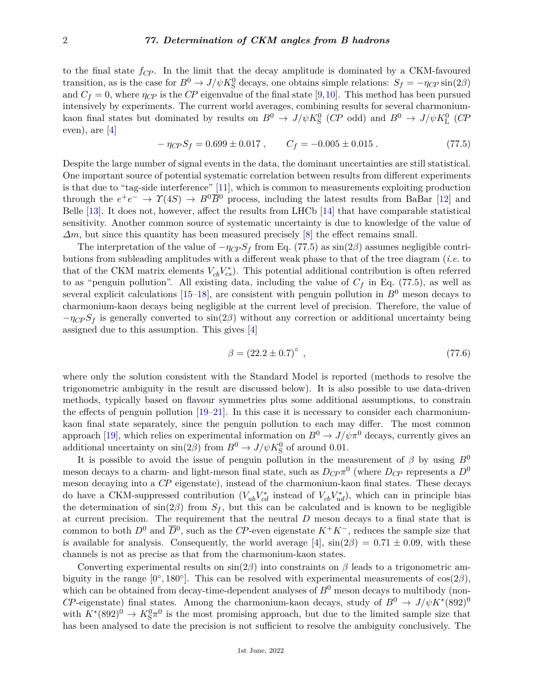#### 2 *77. Determination of CKM angles from B hadrons*

to the final state *fCP* . In the limit that the decay amplitude is dominated by a CKM-favoured transition, as is the case for  $B^0 \to J/\psi K^0_S$  decays, one obtains simple relations:  $S_f = -\eta_{CP} \sin(2\beta)$ and  $C_f = 0$ , where  $\eta_{CP}$  is the *CP* eigenvalue of the final state [\[9,](#page-9-8)[10\]](#page-9-9). This method has been pursued intensively by experiments. The current world averages, combining results for several charmoniumkaon final states but dominated by results on  $B^0 \to J/\psi K^0_S$  (CP odd) and  $B^0 \to J/\psi K^0_L$  (CP even), are [\[4\]](#page-9-3)

$$
-\eta_{CP}S_f = 0.699 \pm 0.017 , \qquad C_f = -0.005 \pm 0.015 . \tag{77.5}
$$

Despite the large number of signal events in the data, the dominant uncertainties are still statistical. One important source of potential systematic correlation between results from different experiments is that due to "tag-side interference" [\[11\]](#page-9-10), which is common to measurements exploiting production through the  $e^+e^- \to \gamma(4S) \to B^0\overline{B}{}^0$  process, including the latest results from BaBar [\[12\]](#page-9-11) and Belle [\[13\]](#page-9-12). It does not, however, affect the results from LHCb [\[14\]](#page-9-13) that have comparable statistical sensitivity. Another common source of systematic uncertainty is due to knowledge of the value of *∆m*, but since this quantity has been measured precisely [\[8\]](#page-9-7) the effect remains small.

The interpretation of the value of  $-\eta_{CP}S_f$  from Eq. (77.5) as sin(2 $\beta$ ) assumes negligible contributions from subleading amplitudes with a different weak phase to that of the tree diagram (*i.e.* to that of the CKM matrix elements  $V_{cb}V_{cs}^*$ ). This potential additional contribution is often referred to as "penguin pollution". All existing data, including the value of  $C_f$  in Eq. (77.5), as well as several explicit calculations  $[15-18]$  $[15-18]$ , are consistent with penguin pollution in  $B^0$  meson decays to charmonium-kaon decays being negligible at the current level of precision. Therefore, the value of  $-\eta_{CP}S_f$  is generally converted to  $\sin(2\beta)$  without any correction or additional uncertainty being assigned due to this assumption. This gives [\[4\]](#page-9-3)

$$
\beta = (22.2 \pm 0.7)^{\circ} \tag{77.6}
$$

where only the solution consistent with the Standard Model is reported (methods to resolve the trigonometric ambiguity in the result are discussed below). It is also possible to use data-driven methods, typically based on flavour symmetries plus some additional assumptions, to constrain the effects of penguin pollution [\[19–](#page-9-16)[21\]](#page-9-17). In this case it is necessary to consider each charmoniumkaon final state separately, since the penguin pollution to each may differ. The most common approach [\[19\]](#page-9-16), which relies on experimental information on  $B^0 \to J/\psi \pi^0$  decays, currently gives an additional uncertainty on  $\sin(2\beta)$  from  $B^0 \to J/\psi K^0_S$  of around 0.01.

It is possible to avoid the issue of penguin pollution in the measurement of  $\beta$  by using  $B^0$ meson decays to a charm- and light-meson final state, such as  $D_{CP} \pi^0$  (where  $D_{CP}$  represents a  $D^0$ meson decaying into a *CP* eigenstate), instead of the charmonium-kaon final states. These decays do have a CKM-suppressed contribution  $(V_{ub}V_{cd}^*)$  instead of  $V_{cb}V_{ud}^*$ , which can in principle bias the determination of  $\sin(2\beta)$  from  $S_f$ , but this can be calculated and is known to be negligible at current precision. The requirement that the neutral *D* meson decays to a final state that is common to both  $D^0$  and  $\overline{D}^0$ , such as the *CP*-even eigenstate  $K^+K^-$ , reduces the sample size that is available for analysis. Consequently, the world average  $[4]$ ,  $\sin(2\beta) = 0.71 \pm 0.09$ , with these channels is not as precise as that from the charmonium-kaon states.

Converting experimental results on sin(2*β*) into constraints on *β* leads to a trigonometric ambiguity in the range  $[0^{\circ}, 180^{\circ}]$ . This can be resolved with experimental measurements of  $cos(2\beta)$ , which can be obtained from decay-time-dependent analyses of  $B^0$  meson decays to multibody (non-*CP*-eigenstate) final states. Among the charmonium-kaon decays, study of  $B^0 \to J/\psi K^*(892)^0$ with  $K^*(892)^0 \to K^0_S \pi^0$  is the most promising approach, but due to the limited sample size that has been analysed to date the precision is not sufficient to resolve the ambiguity conclusively. The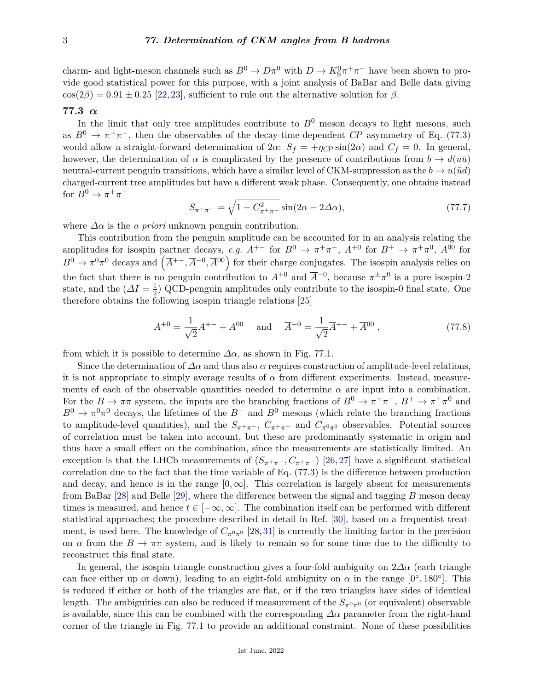charm- and light-meson channels such as  $B^0 \to D\pi^0$  with  $D \to K_S^0 \pi^+ \pi^-$  have been shown to provide good statistical power for this purpose, with a joint analysis of BaBar and Belle data giving  $cos(2\beta) = 0.91 \pm 0.25$  [\[22,](#page-9-18) [23\]](#page-9-19), sufficient to rule out the alternative solution for  $\beta$ .

# **77.3** *α*

In the limit that only tree amplitudes contribute to  $B<sup>0</sup>$  meson decays to light mesons, such as  $B^0 \to \pi^+\pi^-$ , then the observables of the decay-time-dependent *CP* asymmetry of Eq. (77.3) would allow a straight-forward determination of  $2\alpha$ :  $S_f = +\eta_{CP} \sin(2\alpha)$  and  $C_f = 0$ . In general, however, the determination of  $\alpha$  is complicated by the presence of contributions from  $b \to d(u\bar{u})$ neutral-current penguin transitions, which have a similar level of CKM-suppression as the  $b \rightarrow u(\bar{u}d)$ charged-current tree amplitudes but have a different weak phase. Consequently, one obtains instead for  $B^0 \to \pi^+\pi^-$ 

$$
S_{\pi^+\pi^-} = \sqrt{1 - C_{\pi^+\pi^-}^2} \sin(2\alpha - 2\Delta\alpha),\tag{77.7}
$$

where  $\Delta \alpha$  is the *a priori* unknown penguin contribution.

This contribution from the penguin amplitude can be accounted for in an analysis relating the amplitudes for isospin partner decays, *e.g.*  $A^{+-}$  for  $B^0 \to \pi^+\pi^-$ ,  $A^{+0}$  for  $B^+ \to \pi^+\pi^0$ ,  $A^{00}$  for  $B^0 \to \pi^0 \pi^0$  decays and  $(\overline{A}^{+-}, \overline{A}^{-0}, \overline{A}^{00})$  for their charge conjugates. The isospin analysis relies on the fact that there is no penguin contribution to  $A^{+0}$  and  $\overline{A}^{-0}$ , because  $\pi^{\pm} \pi^{0}$  is a pure isospin-2 state, and the  $(\Delta I = \frac{1}{2})$  $\frac{1}{2}$ ) QCD-penguin amplitudes only contribute to the isospin-0 final state. One therefore obtains the following isospin triangle relations [\[25\]](#page-9-20)

$$
A^{+0} = \frac{1}{\sqrt{2}} A^{+-} + A^{00} \quad \text{and} \quad \overline{A}^{-0} = \frac{1}{\sqrt{2}} \overline{A}^{+-} + \overline{A}^{00} , \qquad (77.8)
$$

from which it is possible to determine  $\Delta \alpha$ , as shown in Fig. 77.1.

Since the determination of  $\Delta \alpha$  and thus also  $\alpha$  requires construction of amplitude-level relations, it is not appropriate to simply average results of  $\alpha$  from different experiments. Instead, measurements of each of the observable quantities needed to determine  $\alpha$  are input into a combination. For the  $B \to \pi\pi$  system, the inputs are the branching fractions of  $B^0 \to \pi^+\pi^-$ ,  $B^+ \to \pi^+\pi^0$  and  $B^0 \to \pi^0 \pi^0$  decays, the lifetimes of the  $B^+$  and  $B^0$  mesons (which relate the branching fractions to amplitude-level quantities), and the  $S_{\pi^+\pi^-}$ ,  $C_{\pi^+\pi^-}$  and  $C_{\pi^0\pi^0}$  observables. Potential sources of correlation must be taken into account, but these are predominantly systematic in origin and thus have a small effect on the combination, since the measurements are statistically limited. An exception is that the LHCb measurements of  $(S_{\pi^+\pi^-}, C_{\pi^+\pi^-})$  [\[26,](#page-10-0) [27\]](#page-10-1) have a significant statistical correlation due to the fact that the time variable of Eq. (77.3) is the difference between production and decay, and hence is in the range  $[0, \infty]$ . This correlation is largely absent for measurements from BaBar [\[28\]](#page-10-2) and Belle [\[29\]](#page-10-3), where the difference between the signal and tagging *B* meson decay times is measured, and hence  $t \in [-\infty, \infty]$ . The combination itself can be performed with different statistical approaches; the procedure described in detail in Ref. [\[30\]](#page-10-4), based on a frequentist treatment, is used here. The knowledge of  $C_{\pi^0\pi^0}$  [\[28,](#page-10-2)[31\]](#page-10-5) is currently the limiting factor in the precision on  $\alpha$  from the  $B \to \pi\pi$  system, and is likely to remain so for some time due to the difficulty to reconstruct this final state.

In general, the isospin triangle construction gives a four-fold ambiguity on 2*∆α* (each triangle can face either up or down), leading to an eight-fold ambiguity on  $\alpha$  in the range  $[0^{\circ}, 180^{\circ}]$ . This is reduced if either or both of the triangles are flat, or if the two triangles have sides of identical length. The ambiguities can also be reduced if measurement of the  $S_{\pi^0\pi^0}$  (or equivalent) observable is available, since this can be combined with the corresponding  $\Delta \alpha$  parameter from the right-hand corner of the triangle in Fig. 77.1 to provide an additional constraint. None of these possibilities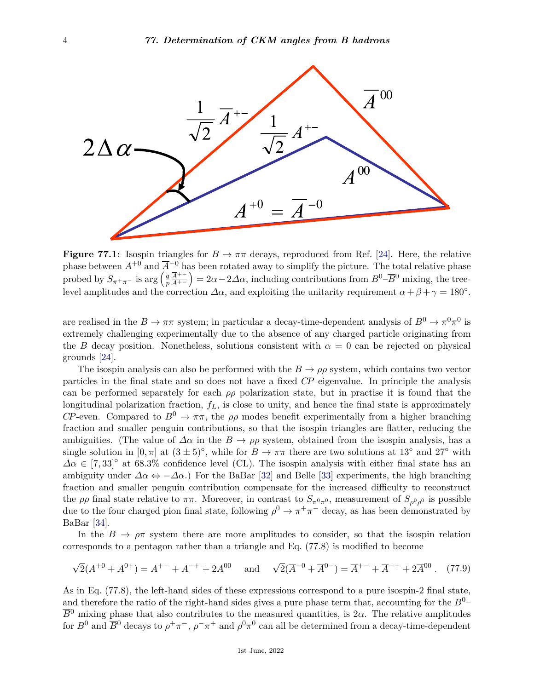

**Figure 77.1:** Isospin triangles for  $B \to \pi\pi$  decays, reproduced from Ref. [\[24\]](#page-9-21). Here, the relative phase between  $A^{+0}$  and  $\overline{A}^{-0}$  has been rotated away to simplify the picture. The total relative phase probed by  $S_{\pi^+\pi^-}$  is arg  $\left(\frac{q}{p}\right)$ *p A*+<sup>−</sup>  $\left(\frac{\overline{A}^{+-}}{A^{+-}}\right) = 2\alpha - 2\Delta\alpha$ , including contributions from  $B^0$ – $\overline{B}^0$  mixing, the treelevel amplitudes and the correction  $\Delta \alpha$ , and exploiting the unitarity requirement  $\alpha + \beta + \gamma = 180^{\circ}$ .

are realised in the  $B \to \pi\pi$  system; in particular a decay-time-dependent analysis of  $B^0 \to \pi^0\pi^0$  is extremely challenging experimentally due to the absence of any charged particle originating from the *B* decay position. Nonetheless, solutions consistent with  $\alpha = 0$  can be rejected on physical grounds [\[24\]](#page-9-21).

The isospin analysis can also be performed with the  $B \to \rho \rho$  system, which contains two vector particles in the final state and so does not have a fixed *CP* eigenvalue. In principle the analysis can be performed separately for each  $\rho \rho$  polarization state, but in practise it is found that the longitudinal polarization fraction, *fL*, is close to unity, and hence the final state is approximately *CP*-even. Compared to  $B^0 \to \pi \pi$ , the  $\rho \rho$  modes benefit experimentally from a higher branching fraction and smaller penguin contributions, so that the isospin triangles are flatter, reducing the ambiguities. (The value of  $\Delta \alpha$  in the  $B \to \rho \rho$  system, obtained from the isospin analysis, has a single solution in  $[0, \pi]$  at  $(3 \pm 5)^\circ$ , while for  $B \to \pi\pi$  there are two solutions at 13<sup>°</sup> and 27<sup>°</sup> with  $\Delta \alpha \in [7, 33]^\circ$  at 68.3% confidence level (CL). The isospin analysis with either final state has an ambiguity under  $\Delta \alpha \Leftrightarrow -\Delta \alpha$ .) For the BaBar [\[32\]](#page-10-6) and Belle [\[33\]](#page-10-7) experiments, the high branching fraction and smaller penguin contribution compensate for the increased difficulty to reconstruct the  $\rho \rho$  final state relative to  $\pi \pi$ . Moreover, in contrast to  $S_{\pi^0 \pi^0}$ , measurement of  $S_{\rho^0 \rho^0}$  is possible due to the four charged pion final state, following  $\rho^0 \to \pi^+\pi^-$  decay, as has been demonstrated by BaBar [\[34\]](#page-10-8).

In the  $B \to \rho \pi$  system there are more amplitudes to consider, so that the isospin relation corresponds to a pentagon rather than a triangle and Eq. (77.8) is modified to become

$$
\sqrt{2}(A^{+0} + A^{0+}) = A^{+-} + A^{-+} + 2A^{00} \quad \text{and} \quad \sqrt{2}(\overline{A}^{-0} + \overline{A}^{0-}) = \overline{A}^{+-} + \overline{A}^{-+} + 2\overline{A}^{00} \ . \tag{77.9}
$$

As in Eq. (77.8), the left-hand sides of these expressions correspond to a pure isospin-2 final state, and therefore the ratio of the right-hand sides gives a pure phase term that, accounting for the  $B^0$ - $\overline{B}^0$  mixing phase that also contributes to the measured quantities, is  $2\alpha$ . The relative amplitudes for  $B^0$  and  $\overline{B}^0$  decays to  $\rho^+\pi^-$ ,  $\rho^-\pi^+$  and  $\rho^0\pi^0$  can all be determined from a decay-time-dependent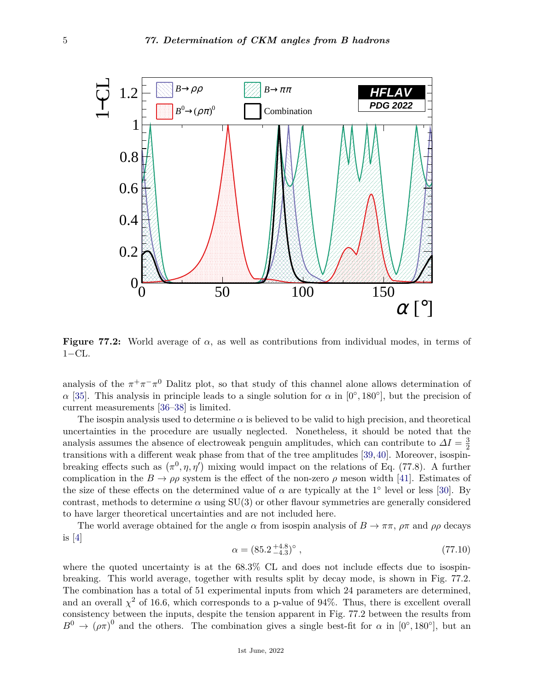

**Figure 77.2:** World average of *α*, as well as contributions from individual modes, in terms of  $1-CL$ .

analysis of the  $\pi^+\pi^-\pi^0$  Dalitz plot, so that study of this channel alone allows determination of *α* [\[35\]](#page-10-9). This analysis in principle leads to a single solution for *α* in [0°, 180°], but the precision of current measurements [\[36–](#page-10-10)[38\]](#page-10-11) is limited.

The isospin analysis used to determine  $\alpha$  is believed to be valid to high precision, and theoretical uncertainties in the procedure are usually neglected. Nonetheless, it should be noted that the analysis assumes the absence of electroweak penguin amplitudes, which can contribute to  $\Delta I = \frac{3}{2}$ 2 transitions with a different weak phase from that of the tree amplitudes [\[39,](#page-10-12)[40\]](#page-10-13). Moreover, isospinbreaking effects such as  $(\pi^0, \eta, \eta')$  mixing would impact on the relations of Eq. (77.8). A further complication in the  $B \to \rho \rho$  system is the effect of the non-zero  $\rho$  meson width [\[41\]](#page-10-14). Estimates of the size of these effects on the determined value of  $\alpha$  are typically at the 1<sup>°</sup> level or less [\[30\]](#page-10-4). By contrast, methods to determine  $\alpha$  using SU(3) or other flavour symmetries are generally considered to have larger theoretical uncertainties and are not included here.

The world average obtained for the angle  $\alpha$  from isospin analysis of  $B \to \pi \pi$ ,  $\rho \pi$  and  $\rho \rho$  decays is  $[4]$ 

$$
\alpha = (85.2^{+4.8}_{-4.3})^{\circ} \tag{77.10}
$$

where the quoted uncertainty is at the  $68.3\%$  CL and does not include effects due to isospinbreaking. This world average, together with results split by decay mode, is shown in Fig. 77.2. The combination has a total of 51 experimental inputs from which 24 parameters are determined, and an overall  $\chi^2$  of 16.6, which corresponds to a p-value of 94%. Thus, there is excellent overall consistency between the inputs, despite the tension apparent in Fig. 77.2 between the results from  $B^0 \to (\rho \pi)^0$  and the others. The combination gives a single best-fit for  $\alpha$  in [0°, 180°], but an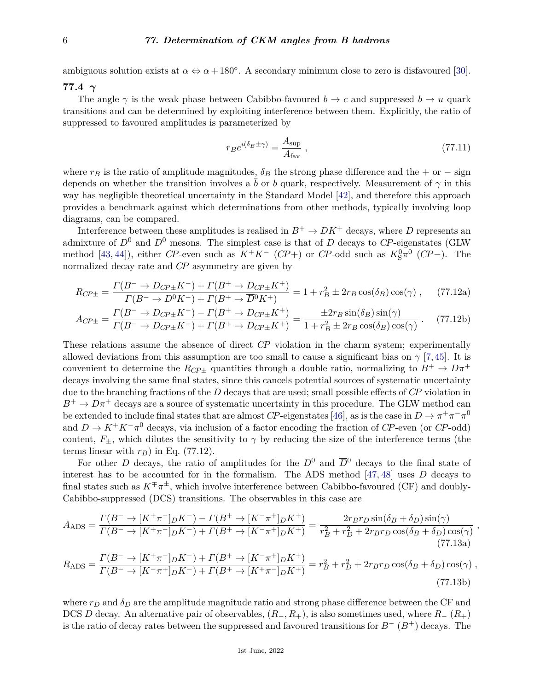ambiguous solution exists at  $\alpha \Leftrightarrow \alpha + 180^{\circ}$ . A secondary minimum close to zero is disfavoured [\[30\]](#page-10-4).

### **77.4** *γ*

The angle  $\gamma$  is the weak phase between Cabibbo-favoured  $b \to c$  and suppressed  $b \to u$  quark transitions and can be determined by exploiting interference between them. Explicitly, the ratio of suppressed to favoured amplitudes is parameterized by

$$
r_B e^{i(\delta_B \pm \gamma)} = \frac{A_{\text{sup}}}{A_{\text{far}}},\tag{77.11}
$$

*,*

where  $r_B$  is the ratio of amplitude magnitudes,  $\delta_B$  the strong phase difference and the + or − sign depends on whether the transition involves a b or b quark, respectively. Measurement of  $\gamma$  in this way has negligible theoretical uncertainty in the Standard Model [\[42\]](#page-10-15), and therefore this approach provides a benchmark against which determinations from other methods, typically involving loop diagrams, can be compared.

Interference between these amplitudes is realised in  $B^+ \to D K^+$  decays, where *D* represents an admixture of  $D^0$  and  $\overline{D}^0$  mesons. The simplest case is that of *D* decays to *CP*-eigenstates (GLW method [\[43,](#page-10-16) [44\]](#page-10-17)), either *CP*-even such as  $K^+K^-$  (*CP*+) or *CP*-odd such as  $K_S^0\pi^0$  (*CP*−). The normalized decay rate and *CP* asymmetry are given by

$$
R_{CP\pm} = \frac{\Gamma(B^- \to D_{CP\pm} K^-) + \Gamma(B^+ \to D_{CP\pm} K^+)}{\Gamma(B^- \to D^0 K^-) + \Gamma(B^+ \to \overline{D}^0 K^+)} = 1 + r_B^2 \pm 2r_B \cos(\delta_B) \cos(\gamma) ,\qquad (77.12a)
$$

$$
A_{CP\pm} = \frac{\Gamma(B^- \to D_{CP\pm} K^-) - \Gamma(B^+ \to D_{CP\pm} K^+)}{\Gamma(B^- \to D_{CP\pm} K^-) + \Gamma(B^+ \to D_{CP\pm} K^+)} = \frac{\pm 2r_B \sin(\delta_B) \sin(\gamma)}{1 + r_B^2 \pm 2r_B \cos(\delta_B) \cos(\gamma)}.
$$
(77.12b)

These relations assume the absence of direct *CP* violation in the charm system; experimentally allowed deviations from this assumption are too small to cause a significant bias on  $\gamma$  [\[7,](#page-9-6)[45\]](#page-10-18). It is convenient to determine the  $R_{CP\pm}$  quantities through a double ratio, normalizing to  $B^+ \to D\pi^+$ decays involving the same final states, since this cancels potential sources of systematic uncertainty due to the branching fractions of the *D* decays that are used; small possible effects of *CP* violation in  $B^+ \to D\pi^+$  decays are a source of systematic uncertainty in this procedure. The GLW method can be extended to include final states that are almost *CP*-eigenstates [\[46\]](#page-10-19), as is the case in  $D \to \pi^+\pi^-\pi^0$ and  $D \to K^+K^-\pi^0$  decays, via inclusion of a factor encoding the fraction of *CP*-even (or *CP*-odd) content,  $F_{\pm}$ , which dilutes the sensitivity to  $\gamma$  by reducing the size of the interference terms (the terms linear with  $r_B$ ) in Eq. (77.12).

For other *D* decays, the ratio of amplitudes for the  $D^0$  and  $\overline{D}^0$  decays to the final state of interest has to be accounted for in the formalism. The ADS method [\[47,](#page-10-20) [48\]](#page-10-21) uses *D* decays to final states such as  $K^{\pm}\pi^{\pm}$ , which involve interference between Cabibbo-favoured (CF) and doubly-Cabibbo-suppressed (DCS) transitions. The observables in this case are

$$
A_{\text{ADS}} = \frac{\Gamma(B^- \to [K^+\pi^-]_D K^-) - \Gamma(B^+ \to [K^-\pi^+]_D K^+)}{\Gamma(B^- \to [K^+\pi^-]_D K^-) + \Gamma(B^+ \to [K^-\pi^+]_D K^+)} = \frac{2r_B r_D \sin(\delta_B + \delta_D) \sin(\gamma)}{r_B^2 + r_D^2 + 2r_B r_D \cos(\delta_B + \delta_D) \cos(\gamma)}
$$
(77.13a)

$$
R_{\rm ADS} = \frac{\Gamma(B^- \to [K^+\pi^-]_D K^-) + \Gamma(B^+ \to [K^-\pi^+]_D K^+)}{\Gamma(B^- \to [K^-\pi^+]_D K^-) + \Gamma(B^+ \to [K^+\pi^-]_D K^+)} = r_B^2 + r_D^2 + 2r_B r_D \cos(\delta_B + \delta_D) \cos(\gamma) ,\tag{77.13b}
$$

where  $r_D$  and  $\delta_D$  are the amplitude magnitude ratio and strong phase difference between the CF and DCS *D* decay. An alternative pair of observables,  $(R_-, R_+)$ , is also sometimes used, where  $R_-(R_+)$ is the ratio of decay rates between the suppressed and favoured transitions for *B*<sup>−</sup> (*B*+) decays. The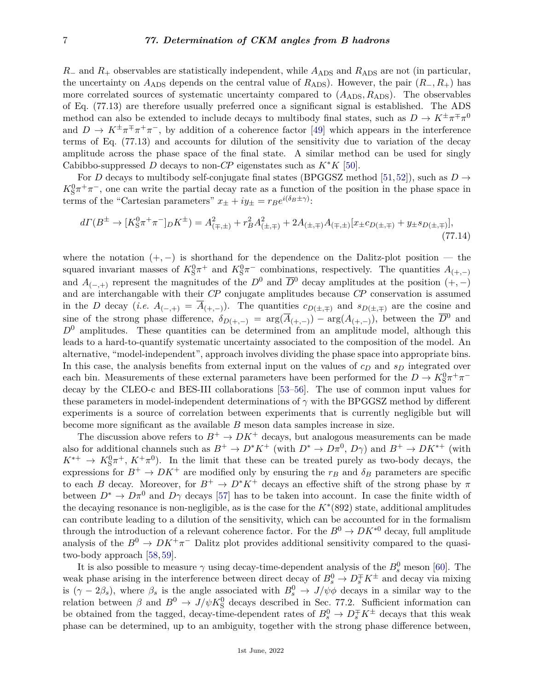*R*− and *R*<sub>+</sub> observables are statistically independent, while *A*<sub>ADS</sub> and *R*<sub>ADS</sub> are not (in particular, the uncertainty on  $A_{\text{ADS}}$  depends on the central value of  $R_{\text{ADS}}$ ). However, the pair  $(R_-, R_+)$  has more correlated sources of systematic uncertainty compared to  $(A_{ADS}, R_{ADS})$ . The observables of Eq. (77.13) are therefore usually preferred once a significant signal is established. The ADS method can also be extended to include decays to multibody final states, such as  $D \to K^{\pm} \pi^{\mp} \pi^0$ and  $D \to K^{\pm} \pi^{\mp} \pi^+ \pi^-$ , by addition of a coherence factor [\[49\]](#page-10-22) which appears in the interference terms of Eq. (77.13) and accounts for dilution of the sensitivity due to variation of the decay amplitude across the phase space of the final state. A similar method can be used for singly Cabibbo-suppressed *D* decays to non-*CP* eigenstates such as  $K^*K$  [\[50\]](#page-10-23).

For *D* decays to multibody self-conjugate final states (BPGGSZ method [\[51,](#page-10-24)[52\]](#page-10-25)), such as  $D \rightarrow$  $K_S^0 \pi^+ \pi^-$ , one can write the partial decay rate as a function of the position in the phase space in terms of the "Cartesian parameters"  $x_{\pm} + iy_{\pm} = r_B e^{i(\delta_B \pm \gamma)}$ :

$$
d\Gamma(B^{\pm} \to [K_S^0 \pi^+ \pi^-]_D K^{\pm}) = A_{(\mp,\pm)}^2 + r_B^2 A_{(\pm,\mp)}^2 + 2A_{(\pm,\mp)} A_{(\mp,\pm)} [x_{\pm} c_{D(\pm,\mp)} + y_{\pm} s_{D(\pm,\mp)}],
$$
\n(77.14)

where the notation  $(+,-)$  is shorthand for the dependence on the Dalitz-plot position — the squared invariant masses of  $K_S^0 \pi^+$  and  $K_S^0 \pi^-$  combinations, respectively. The quantities  $A_{(+,-)}$ and  $A_{(-,+)}$  represent the magnitudes of the  $D^0$  and  $\overline{D}^0$  decay amplitudes at the position  $(+,-)$ and are interchangable with their *CP* conjugate amplitudes because *CP* conservation is assumed in the *D* decay (*i.e.*  $A_{(-,+)} = \overline{A}_{(+,-)}$ ). The quantities  $c_{D(\pm,\mp)}$  and  $s_{D(\pm,\mp)}$  are the cosine and sine of the strong phase difference,  $\delta_{D(+,-)} = \arg(\overline{A}_{(+,-)}) - \arg(A_{(+,-)})$ , between the  $\overline{D}^0$  and  $D^0$  amplitudes. These quantities can be determined from an amplitude model, although this leads to a hard-to-quantify systematic uncertainty associated to the composition of the model. An alternative, "model-independent", approach involves dividing the phase space into appropriate bins. In this case, the analysis benefits from external input on the values of *c<sup>D</sup>* and *s<sup>D</sup>* integrated over each bin. Measurements of these external parameters have been performed for the  $D \to K^0_S \pi^+ \pi^$ decay by the CLEO-c and BES-III collaborations [\[53–](#page-10-26)[56\]](#page-10-27). The use of common input values for these parameters in model-independent determinations of *γ* with the BPGGSZ method by different experiments is a source of correlation between experiments that is currently negligible but will become more significant as the available *B* meson data samples increase in size.

The discussion above refers to  $B^+ \to D K^+$  decays, but analogous measurements can be made also for additional channels such as  $B^+ \to D^*K^+$  (with  $D^* \to D\pi^0$ ,  $D\gamma$ ) and  $B^+ \to D K^{*+}$  (with  $K^{*+} \to K_S^0 \pi^+, K^+ \pi^0$ ). In the limit that these can be treated purely as two-body decays, the expressions for  $B^+ \to D K^+$  are modified only by ensuring the  $r_B$  and  $\delta_B$  parameters are specific to each *B* decay. Moreover, for  $B^+ \to D^*K^+$  decays an effective shift of the strong phase by  $\pi$ between  $D^* \to D\pi^0$  and  $D\gamma$  decays [\[57\]](#page-10-28) has to be taken into account. In case the finite width of the decaying resonance is non-negligible, as is the case for the *K*<sup>∗</sup> (892) state, additional amplitudes can contribute leading to a dilution of the sensitivity, which can be accounted for in the formalism through the introduction of a relevant coherence factor. For the  $B^0 \to D K^{*0}$  decay, full amplitude analysis of the  $B^0 \to D K^+ \pi^-$  Dalitz plot provides additional sensitivity compared to the quasitwo-body approach [\[58,](#page-10-29) [59\]](#page-10-30).

It is also possible to measure  $\gamma$  using decay-time-dependent analysis of the  $B_s^0$  meson [\[60\]](#page-10-31). The weak phase arising in the interference between direct decay of  $B_s^0 \to D_s^{\mp} K^{\pm}$  and decay via mixing is  $(\gamma - 2\beta_s)$ , where  $\beta_s$  is the angle associated with  $B_s^0 \to J/\psi \phi$  decays in a similar way to the relation between  $\beta$  and  $B^0 \to J/\psi K^0_S$  decays described in Sec. 77.2. Sufficient information can be obtained from the tagged, decay-time-dependent rates of  $B_s^0 \to D_s^{\pm} K^{\pm}$  decays that this weak phase can be determined, up to an ambiguity, together with the strong phase difference between,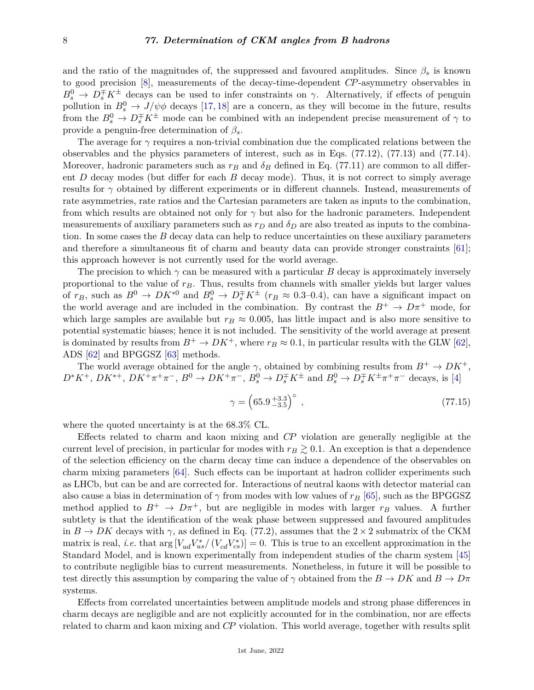and the ratio of the magnitudes of, the suppressed and favoured amplitudes. Since  $\beta_s$  is known to good precision [\[8\]](#page-9-7), measurements of the decay-time-dependent *CP*-asymmetry observables in  $B_s^0 \to D_s^{\pm} K^{\pm}$  decays can be used to infer constraints on *γ*. Alternatively, if effects of penguin pollution in  $B_s^0 \to J/\psi \phi$  decays [\[17,](#page-9-22) [18\]](#page-9-15) are a concern, as they will become in the future, results from the  $B_s^0 \to D_s^{\pm} K^{\pm}$  mode can be combined with an independent precise measurement of  $\gamma$  to provide a penguin-free determination of  $\beta_s$ .

The average for *γ* requires a non-trivial combination due the complicated relations between the observables and the physics parameters of interest, such as in Eqs. (77.12), (77.13) and (77.14). Moreover, hadronic parameters such as  $r_B$  and  $\delta_B$  defined in Eq. (77.11) are common to all different *D* decay modes (but differ for each *B* decay mode). Thus, it is not correct to simply average results for *γ* obtained by different experiments or in different channels. Instead, measurements of rate asymmetries, rate ratios and the Cartesian parameters are taken as inputs to the combination, from which results are obtained not only for  $\gamma$  but also for the hadronic parameters. Independent measurements of auxiliary parameters such as  $r<sub>D</sub>$  and  $\delta<sub>D</sub>$  are also treated as inputs to the combination. In some cases the *B* decay data can help to reduce uncertainties on these auxiliary parameters and therefore a simultaneous fit of charm and beauty data can provide stronger constraints [\[61\]](#page-10-32); this approach however is not currently used for the world average.

The precision to which  $\gamma$  can be measured with a particular *B* decay is approximately inversely proportional to the value of *rB*. Thus, results from channels with smaller yields but larger values of  $r_B$ , such as  $B^0 \to DK^{*0}$  and  $B_s^0 \to D_s^{\mp} K^{\pm}$  ( $r_B \approx 0.3{\text -}0.4$ ), can have a significant impact on the world average and are included in the combination. By contrast the  $B^+ \to D\pi^+$  mode, for which large samples are available but  $r_B \approx 0.005$ , has little impact and is also more sensitive to potential systematic biases; hence it is not included. The sensitivity of the world average at present is dominated by results from  $B^+ \to D K^+$ , where  $r_B \approx 0.1$ , in particular results with the GLW [\[62\]](#page-10-33), ADS [\[62\]](#page-10-33) and BPGGSZ [\[63\]](#page-10-34) methods.

The world average obtained for the angle  $\gamma$ , obtained by combining results from  $B^+ \to D K^+$ ,  $D^*K^+$ ,  $DK^{*+}$ ,  $DK^+\pi^+\pi^-$ ,  $B^0 \to DK^+\pi^-$ ,  $B^0_s \to D_s^{\mp}K^{\pm}$  and  $B^0_s \to D_s^{\mp}K^{\pm}\pi^+\pi^-$  decays, is [\[4\]](#page-9-3)

$$
\gamma = \left(65.9^{+3.3}_{-3.5}\right)^{\circ},\tag{77.15}
$$

where the quoted uncertainty is at the 68.3% CL.

Effects related to charm and kaon mixing and *CP* violation are generally negligible at the current level of precision, in particular for modes with  $r_B \gtrsim 0.1$ . An exception is that a dependence of the selection efficiency on the charm decay time can induce a dependence of the observables on charm mixing parameters [\[64\]](#page-11-0). Such effects can be important at hadron collider experiments such as LHCb, but can be and are corrected for. Interactions of neutral kaons with detector material can also cause a bias in determination of  $\gamma$  from modes with low values of  $r_B$  [\[65\]](#page-11-1), such as the BPGGSZ method applied to  $B^+ \to D\pi^+$ , but are negligible in modes with larger  $r_B$  values. A further subtlety is that the identification of the weak phase between suppressed and favoured amplitudes in  $B \to DK$  decays with  $\gamma$ , as defined in Eq. (77.2), assumes that the  $2 \times 2$  submatrix of the CKM matrix is real, *i.e.* that  $\arg[V_{ud}V_{us}^*/(V_{cd}V_{cs}^*)]=0$ . This is true to an excellent approximation in the Standard Model, and is known experimentally from independent studies of the charm system [\[45\]](#page-10-18) to contribute negligible bias to current measurements. Nonetheless, in future it will be possible to test directly this assumption by comparing the value of  $\gamma$  obtained from the  $B \to DK$  and  $B \to D\pi$ systems.

Effects from correlated uncertainties between amplitude models and strong phase differences in charm decays are negligible and are not explicitly accounted for in the combination, nor are effects related to charm and kaon mixing and *CP* violation. This world average, together with results split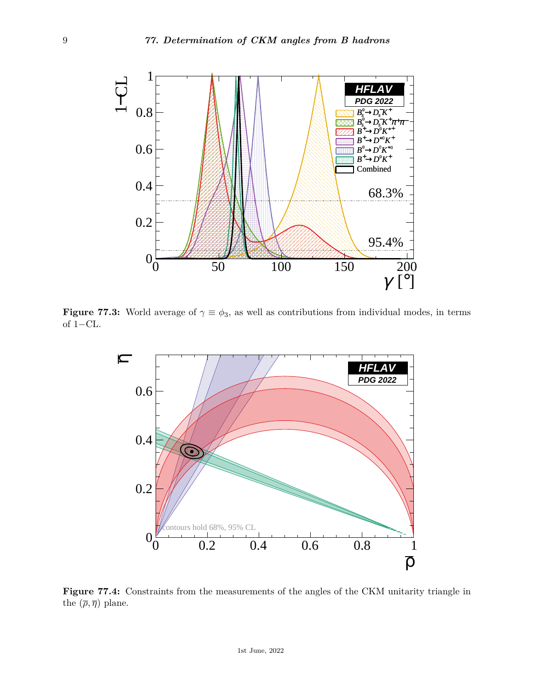

**Figure 77.3:** World average of  $\gamma \equiv \phi_3$ , as well as contributions from individual modes, in terms of 1−CL.



Figure 77.4: Constraints from the measurements of the angles of the CKM unitarity triangle in the  $(\overline{\rho}, \overline{\eta})$  plane.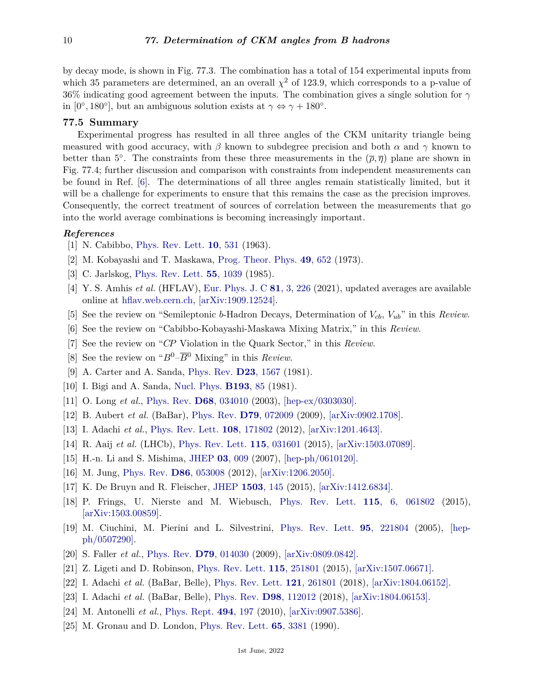by decay mode, is shown in Fig. 77.3. The combination has a total of 154 experimental inputs from which 35 parameters are determined, an an overall  $\chi^2$  of 123.9, which corresponds to a p-value of 36% indicating good agreement between the inputs. The combination gives a single solution for *γ* in [0°, 180°], but an ambiguous solution exists at  $\gamma \Leftrightarrow \gamma + 180^{\circ}$ .

## **77.5 Summary**

Experimental progress has resulted in all three angles of the CKM unitarity triangle being measured with good accuracy, with  $\beta$  known to subdegree precision and both  $\alpha$  and  $\gamma$  known to better than 5<sup>°</sup>. The constraints from these three measurements in the  $(\bar{\rho}, \bar{\eta})$  plane are shown in Fig. 77.4; further discussion and comparison with constraints from independent measurements can be found in Ref. [\[6\]](#page-9-5). The determinations of all three angles remain statistically limited, but it will be a challenge for experiments to ensure that this remains the case as the precision improves. Consequently, the correct treatment of sources of correlation between the measurements that go into the world average combinations is becoming increasingly important.

## <span id="page-9-0"></span>*References*

- <span id="page-9-1"></span>[1] N. Cabibbo, [Phys. Rev. Lett.](http://doi.org/10.1103/PhysRevLett.10.531) **10**[, 531](http://doi.org/10.1103/PhysRevLett.10.531) (1963).
- [2] M. Kobayashi and T. Maskawa, [Prog. Theor. Phys.](http://doi.org/10.1143/PTP.49.652) **49**[, 652](http://doi.org/10.1143/PTP.49.652) (1973).
- <span id="page-9-2"></span>[3] C. Jarlskog, [Phys. Rev. Lett.](http://doi.org/10.1103/PhysRevLett.55.1039) **55**[, 1039](http://doi.org/10.1103/PhysRevLett.55.1039) (1985).
- <span id="page-9-3"></span>[4] Y. S. Amhis *et al.* (HFLAV), [Eur. Phys. J. C](http://doi.org/10.1140/epjc/s10052-020-8156-7) **81**[, 3, 226](http://doi.org/10.1140/epjc/s10052-020-8156-7) (2021), updated averages are available online at [hflav.web.cern.ch,](https://hflav.web.cern.ch/) [\[arXiv:1909.12524\].](https://arxiv.org/abs/1909.12524)
- <span id="page-9-4"></span>[5] See the review on "Semileptonic *b*-Hadron Decays, Determination of *Vcb*, *Vub*" in this *Review*.
- <span id="page-9-5"></span>[6] See the review on "Cabibbo-Kobayashi-Maskawa Mixing Matrix," in this *Review*.
- <span id="page-9-6"></span>[7] See the review on "*CP* Violation in the Quark Sector," in this *Review*.
- <span id="page-9-7"></span>[8] See the review on "*B*0–*B*<sup>0</sup> Mixing" in this *Review*.
- <span id="page-9-8"></span>[9] A. Carter and A. Sanda, [Phys. Rev.](http://doi.org/10.1103/PhysRevD.23.1567) **D23**[, 1567](http://doi.org/10.1103/PhysRevD.23.1567) (1981).
- <span id="page-9-10"></span><span id="page-9-9"></span>[10] I. Bigi and A. Sanda, [Nucl. Phys.](http://doi.org/10.1016/0550-3213(81)90519-8) **[B193](http://doi.org/10.1016/0550-3213(81)90519-8)**, 85 (1981).
- [11] O. Long *et al.*, [Phys. Rev.](http://doi.org/10.1103/PhysRevD.68.034010) **D68**[, 034010](http://doi.org/10.1103/PhysRevD.68.034010) (2003), [\[hep-ex/0303030\].](https://arxiv.org/abs/hep-ex/0303030)
- <span id="page-9-11"></span>[12] B. Aubert *et al.* (BaBar), [Phys. Rev.](http://doi.org/10.1103/PhysRevD.79.072009) **D79**[, 072009](http://doi.org/10.1103/PhysRevD.79.072009) (2009), [\[arXiv:0902.1708\].](https://arxiv.org/abs/0902.1708)
- <span id="page-9-12"></span>[13] I. Adachi *et al.*, [Phys. Rev. Lett.](http://doi.org/10.1103/PhysRevLett.108.171802) **108**[, 171802](http://doi.org/10.1103/PhysRevLett.108.171802) (2012), [\[arXiv:1201.4643\].](https://arxiv.org/abs/1201.4643)
- <span id="page-9-13"></span>[14] R. Aaij *et al.* (LHCb), [Phys. Rev. Lett.](http://doi.org/10.1103/PhysRevLett.115.031601) **115**[, 031601](http://doi.org/10.1103/PhysRevLett.115.031601) (2015), [\[arXiv:1503.07089\].](https://arxiv.org/abs/1503.07089)
- <span id="page-9-14"></span>[15] H.-n. Li and S. Mishima, [JHEP](http://doi.org/10.1088/1126-6708/2007/03/009) **03**[, 009](http://doi.org/10.1088/1126-6708/2007/03/009) (2007), [\[hep-ph/0610120\].](https://arxiv.org/abs/hep-ph/0610120)
- [16] M. Jung, [Phys. Rev.](http://doi.org/10.1103/PhysRevD.86.053008) **D86**[, 053008](http://doi.org/10.1103/PhysRevD.86.053008) (2012), [\[arXiv:1206.2050\].](https://arxiv.org/abs/1206.2050)
- <span id="page-9-22"></span>[17] K. De Bruyn and R. Fleischer, [JHEP](http://doi.org/10.1007/JHEP03(2015)145) **[1503](http://doi.org/10.1007/JHEP03(2015)145)**, 145 (2015), [\[arXiv:1412.6834\].](https://arxiv.org/abs/1412.6834)
- <span id="page-9-15"></span>[18] P. Frings, U. Nierste and M. Wiebusch, [Phys. Rev. Lett.](http://doi.org/10.1103/PhysRevLett.115.061802) **115**[, 6, 061802](http://doi.org/10.1103/PhysRevLett.115.061802) (2015), [\[arXiv:1503.00859\].](https://arxiv.org/abs/1503.00859)
- <span id="page-9-16"></span>[19] M. Ciuchini, M. Pierini and L. Silvestrini, [Phys. Rev. Lett.](http://doi.org/10.1103/PhysRevLett.95.221804) **95**[, 221804](http://doi.org/10.1103/PhysRevLett.95.221804) (2005), [\[hep](https://arxiv.org/abs/hep-ph/0507290)[ph/0507290\].](https://arxiv.org/abs/hep-ph/0507290)
- [20] S. Faller *et al.*, [Phys. Rev.](http://doi.org/10.1103/PhysRevD.79.014030) **D79**[, 014030](http://doi.org/10.1103/PhysRevD.79.014030) (2009), [\[arXiv:0809.0842\].](https://arxiv.org/abs/0809.0842)
- <span id="page-9-18"></span><span id="page-9-17"></span>[21] Z. Ligeti and D. Robinson, [Phys. Rev. Lett.](http://doi.org/10.1103/PhysRevLett.115.251801) **115**[, 251801](http://doi.org/10.1103/PhysRevLett.115.251801) (2015), [\[arXiv:1507.06671\].](https://arxiv.org/abs/1507.06671)
- [22] I. Adachi *et al.* (BaBar, Belle), [Phys. Rev. Lett.](http://doi.org/10.1103/PhysRevLett.121.261801) **121**[, 261801](http://doi.org/10.1103/PhysRevLett.121.261801) (2018), [\[arXiv:1804.06152\].](https://arxiv.org/abs/1804.06152)
- <span id="page-9-21"></span><span id="page-9-19"></span>[23] I. Adachi *et al.* (BaBar, Belle), [Phys. Rev.](http://doi.org/10.1103/PhysRevD.98.112012) **D98**[, 112012](http://doi.org/10.1103/PhysRevD.98.112012) (2018), [\[arXiv:1804.06153\].](https://arxiv.org/abs/1804.06153)
- [24] M. Antonelli *et al.*, [Phys. Rept.](http://doi.org/10.1016/j.physrep.2010.05.003) **494**[, 197](http://doi.org/10.1016/j.physrep.2010.05.003) (2010), [\[arXiv:0907.5386\].](https://arxiv.org/abs/0907.5386)
- <span id="page-9-20"></span>[25] M. Gronau and D. London, [Phys. Rev. Lett.](http://doi.org/10.1103/PhysRevLett.65.3381) **65**[, 3381](http://doi.org/10.1103/PhysRevLett.65.3381) (1990).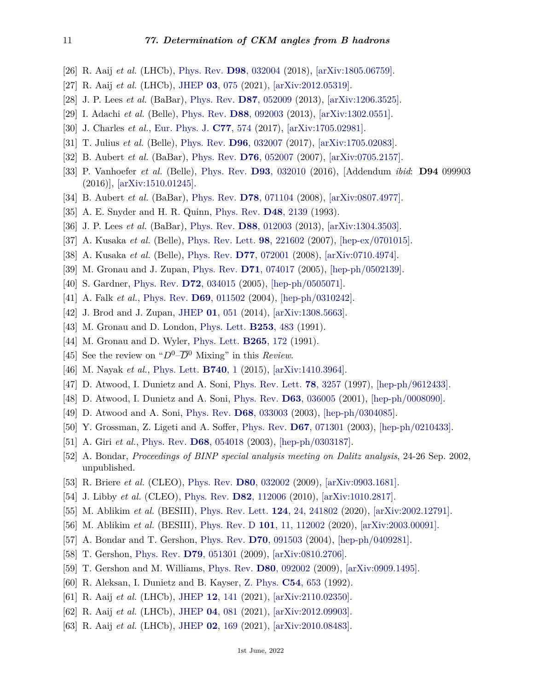- <span id="page-10-0"></span>[26] R. Aaij *et al.* (LHCb), [Phys. Rev.](http://doi.org/10.1103/PhysRevD.98.032004) **D98**[, 032004](http://doi.org/10.1103/PhysRevD.98.032004) (2018), [\[arXiv:1805.06759\].](https://arxiv.org/abs/1805.06759)
- <span id="page-10-1"></span>[27] R. Aaij *et al.* (LHCb), [JHEP](http://doi.org/10.1007/JHEP03(2021)075) **03**[, 075](http://doi.org/10.1007/JHEP03(2021)075) (2021), [\[arXiv:2012.05319\].](https://arxiv.org/abs/2012.05319)
- <span id="page-10-2"></span>[28] J. P. Lees *et al.* (BaBar), [Phys. Rev.](http://doi.org/10.1103/PhysRevD.87.052009) **D87**[, 052009](http://doi.org/10.1103/PhysRevD.87.052009) (2013), [\[arXiv:1206.3525\].](https://arxiv.org/abs/1206.3525)
- <span id="page-10-3"></span>[29] I. Adachi *et al.* (Belle), [Phys. Rev.](http://doi.org/10.1103/PhysRevD.88.092003) **D88**[, 092003](http://doi.org/10.1103/PhysRevD.88.092003) (2013), [\[arXiv:1302.0551\].](https://arxiv.org/abs/1302.0551)
- <span id="page-10-4"></span>[30] J. Charles *et al.*, [Eur. Phys. J.](http://doi.org/10.1140/epjc/s10052-017-5126-9) **C77**[, 574](http://doi.org/10.1140/epjc/s10052-017-5126-9) (2017), [\[arXiv:1705.02981\].](https://arxiv.org/abs/1705.02981)
- <span id="page-10-5"></span>[31] T. Julius *et al.* (Belle), [Phys. Rev.](http://doi.org/10.1103/PhysRevD.96.032007) **D96**[, 032007](http://doi.org/10.1103/PhysRevD.96.032007) (2017), [\[arXiv:1705.02083\].](https://arxiv.org/abs/1705.02083)
- <span id="page-10-6"></span>[32] B. Aubert *et al.* (BaBar), [Phys. Rev.](http://doi.org/10.1103/PhysRevD.76.052007) **D76**[, 052007](http://doi.org/10.1103/PhysRevD.76.052007) (2007), [\[arXiv:0705.2157\].](https://arxiv.org/abs/0705.2157)
- <span id="page-10-7"></span>[33] P. Vanhoefer *et al.* (Belle), [Phys. Rev.](http://doi.org/10.1103/PhysRevD.94.099903) **D93**[, 032010](http://doi.org/10.1103/PhysRevD.94.099903) (2016), [Addendum *ibid*: **D94** 099903 (2016)], [\[arXiv:1510.01245\].](https://arxiv.org/abs/1510.01245)
- <span id="page-10-8"></span>[34] B. Aubert *et al.* (BaBar), [Phys. Rev.](http://doi.org/10.1103/PhysRevD.78.071104) **D78**[, 071104](http://doi.org/10.1103/PhysRevD.78.071104) (2008), [\[arXiv:0807.4977\].](https://arxiv.org/abs/0807.4977)
- <span id="page-10-9"></span>[35] A. E. Snyder and H. R. Quinn, [Phys. Rev.](http://doi.org/10.1103/PhysRevD.48.2139) **D48**[, 2139](http://doi.org/10.1103/PhysRevD.48.2139) (1993).
- <span id="page-10-10"></span>[36] J. P. Lees *et al.* (BaBar), [Phys. Rev.](http://doi.org/10.1103/PhysRevD.88.012003) **D88**[, 012003](http://doi.org/10.1103/PhysRevD.88.012003) (2013), [\[arXiv:1304.3503\].](https://arxiv.org/abs/1304.3503)
- [37] A. Kusaka *et al.* (Belle), [Phys. Rev. Lett.](http://doi.org/10.1103/PhysRevLett.98.221602) **98**[, 221602](http://doi.org/10.1103/PhysRevLett.98.221602) (2007), [\[hep-ex/0701015\].](https://arxiv.org/abs/hep-ex/0701015)
- <span id="page-10-11"></span>[38] A. Kusaka *et al.* (Belle), [Phys. Rev.](http://doi.org/10.1103/PhysRevD.77.072001) **D77**[, 072001](http://doi.org/10.1103/PhysRevD.77.072001) (2008), [\[arXiv:0710.4974\].](https://arxiv.org/abs/0710.4974)
- <span id="page-10-12"></span>[39] M. Gronau and J. Zupan, [Phys. Rev.](http://doi.org/10.1103/PhysRevD.71.074017) **D71**[, 074017](http://doi.org/10.1103/PhysRevD.71.074017) (2005), [\[hep-ph/0502139\].](https://arxiv.org/abs/hep-ph/0502139)
- <span id="page-10-13"></span>[40] S. Gardner, [Phys. Rev.](http://doi.org/10.1103/PhysRevD.72.034015) **D72**[, 034015](http://doi.org/10.1103/PhysRevD.72.034015) (2005), [\[hep-ph/0505071\].](https://arxiv.org/abs/hep-ph/0505071)
- <span id="page-10-14"></span>[41] A. Falk *et al.*, [Phys. Rev.](http://doi.org/10.1103/PhysRevD.69.011502) **D69**[, 011502](http://doi.org/10.1103/PhysRevD.69.011502) (2004), [\[hep-ph/0310242\].](https://arxiv.org/abs/hep-ph/0310242)
- <span id="page-10-15"></span>[42] J. Brod and J. Zupan, [JHEP](http://doi.org/10.1007/JHEP01(2014)051) **01**[, 051](http://doi.org/10.1007/JHEP01(2014)051) (2014), [\[arXiv:1308.5663\].](https://arxiv.org/abs/1308.5663)
- <span id="page-10-16"></span>[43] M. Gronau and D. London, [Phys. Lett.](http://doi.org/10.1016/0370-2693(91)91756-L) **[B253](http://doi.org/10.1016/0370-2693(91)91756-L)**, 483 (1991).
- <span id="page-10-17"></span>[44] M. Gronau and D. Wyler, [Phys. Lett.](http://doi.org/10.1016/0370-2693(91)90034-N) **[B265](http://doi.org/10.1016/0370-2693(91)90034-N)**, 172 (1991).
- <span id="page-10-18"></span>[45] See the review on " $D^0$ – $\overline{D}$ <sup>0</sup> Mixing" in this *Review*.
- <span id="page-10-19"></span>[46] M. Nayak *et al.*, [Phys. Lett.](http://doi.org/10.1016/j.physletb.2014.11.022) **[B740](http://doi.org/10.1016/j.physletb.2014.11.022)**, 1 (2015), [\[arXiv:1410.3964\].](https://arxiv.org/abs/1410.3964)
- <span id="page-10-20"></span>[47] D. Atwood, I. Dunietz and A. Soni, [Phys. Rev. Lett.](http://doi.org/10.1103/PhysRevLett.78.3257) **78**[, 3257](http://doi.org/10.1103/PhysRevLett.78.3257) (1997), [\[hep-ph/9612433\].](https://arxiv.org/abs/hep-ph/9612433)
- <span id="page-10-21"></span>[48] D. Atwood, I. Dunietz and A. Soni, [Phys. Rev.](http://doi.org/10.1103/PhysRevD.63.036005) **D63**[, 036005](http://doi.org/10.1103/PhysRevD.63.036005) (2001), [\[hep-ph/0008090\].](https://arxiv.org/abs/hep-ph/0008090)
- <span id="page-10-22"></span>[49] D. Atwood and A. Soni, [Phys. Rev.](http://doi.org/10.1103/PhysRevD.68.033003) **D68**[, 033003](http://doi.org/10.1103/PhysRevD.68.033003) (2003), [\[hep-ph/0304085\].](https://arxiv.org/abs/hep-ph/0304085)
- <span id="page-10-23"></span>[50] Y. Grossman, Z. Ligeti and A. Soffer, [Phys. Rev.](http://doi.org/10.1103/PhysRevD.67.071301) **D67**[, 071301](http://doi.org/10.1103/PhysRevD.67.071301) (2003), [\[hep-ph/0210433\].](https://arxiv.org/abs/hep-ph/0210433)
- <span id="page-10-24"></span>[51] A. Giri *et al.*, [Phys. Rev.](http://doi.org/10.1103/PhysRevD.68.054018) **D68**[, 054018](http://doi.org/10.1103/PhysRevD.68.054018) (2003), [\[hep-ph/0303187\].](https://arxiv.org/abs/hep-ph/0303187)
- <span id="page-10-25"></span>[52] A. Bondar, *Proceedings of BINP special analysis meeting on Dalitz analysis*, 24-26 Sep. 2002, unpublished.
- <span id="page-10-26"></span>[53] R. Briere *et al.* (CLEO), [Phys. Rev.](http://doi.org/10.1103/PhysRevD.80.032002) **D80**[, 032002](http://doi.org/10.1103/PhysRevD.80.032002) (2009), [\[arXiv:0903.1681\].](https://arxiv.org/abs/0903.1681)
- [54] J. Libby *et al.* (CLEO), [Phys. Rev.](http://doi.org/10.1103/PhysRevD.82.112006) **D82**[, 112006](http://doi.org/10.1103/PhysRevD.82.112006) (2010), [\[arXiv:1010.2817\].](https://arxiv.org/abs/1010.2817)
- [55] M. Ablikim *et al.* (BESIII), [Phys. Rev. Lett.](http://doi.org/10.1103/PhysRevLett.124.241802) **124**[, 24, 241802](http://doi.org/10.1103/PhysRevLett.124.241802) (2020), [\[arXiv:2002.12791\].](https://arxiv.org/abs/2002.12791)
- <span id="page-10-27"></span>[56] M. Ablikim *et al.* (BESIII), [Phys. Rev. D](http://doi.org/10.1103/PhysRevD.101.112002) **101**[, 11, 112002](http://doi.org/10.1103/PhysRevD.101.112002) (2020), [\[arXiv:2003.00091\].](https://arxiv.org/abs/2003.00091)
- <span id="page-10-29"></span><span id="page-10-28"></span>[57] A. Bondar and T. Gershon, [Phys. Rev.](http://doi.org/10.1103/PhysRevD.70.091503) **D70**[, 091503](http://doi.org/10.1103/PhysRevD.70.091503) (2004), [\[hep-ph/0409281\].](https://arxiv.org/abs/hep-ph/0409281)
- [58] T. Gershon, [Phys. Rev.](http://doi.org/10.1103/PhysRevD.79.051301) **D79**[, 051301](http://doi.org/10.1103/PhysRevD.79.051301) (2009), [\[arXiv:0810.2706\].](https://arxiv.org/abs/0810.2706)
- <span id="page-10-30"></span>[59] T. Gershon and M. Williams, [Phys. Rev.](http://doi.org/10.1103/PhysRevD.80.092002) **D80**[, 092002](http://doi.org/10.1103/PhysRevD.80.092002) (2009), [\[arXiv:0909.1495\].](https://arxiv.org/abs/0909.1495)
- <span id="page-10-31"></span>[60] R. Aleksan, I. Dunietz and B. Kayser, [Z. Phys.](http://doi.org/10.1007/BF01559494) **C54**[, 653](http://doi.org/10.1007/BF01559494) (1992).
- <span id="page-10-32"></span>[61] R. Aaij *et al.* (LHCb), [JHEP](http://doi.org/10.1007/JHEP12(2021)141) **12**[, 141](http://doi.org/10.1007/JHEP12(2021)141) (2021), [\[arXiv:2110.02350\].](https://arxiv.org/abs/2110.02350)
- <span id="page-10-33"></span>[62] R. Aaij *et al.* (LHCb), [JHEP](http://doi.org/10.1007/JHEP04(2021)081) **04**[, 081](http://doi.org/10.1007/JHEP04(2021)081) (2021), [\[arXiv:2012.09903\].](https://arxiv.org/abs/2012.09903)
- <span id="page-10-34"></span>[63] R. Aaij *et al.* (LHCb), [JHEP](http://doi.org/10.1007/JHEP02(2021)169) **02**[, 169](http://doi.org/10.1007/JHEP02(2021)169) (2021), [\[arXiv:2010.08483\].](https://arxiv.org/abs/2010.08483)